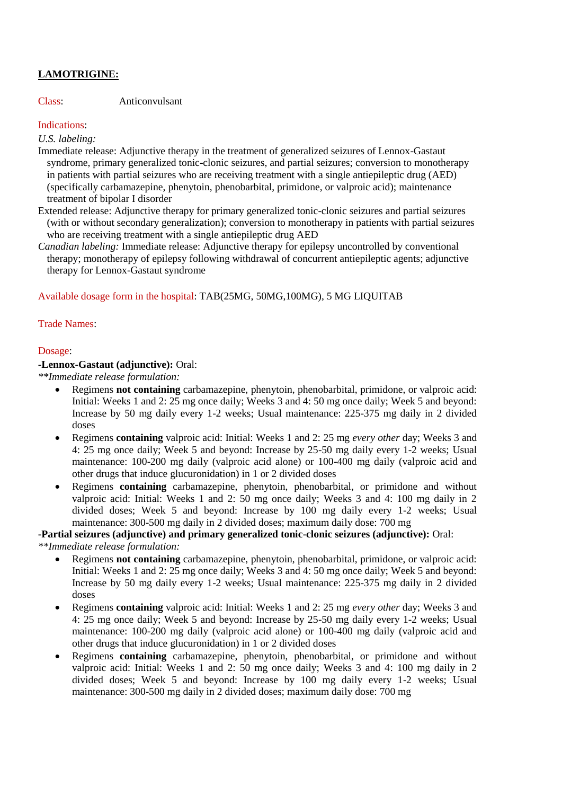# **LAMOTRIGINE:**

Class: Anticonvulsant

# Indications:

*U.S. labeling:*

Immediate release: Adjunctive therapy in the treatment of generalized seizures of Lennox-Gastaut syndrome, primary generalized tonic-clonic seizures, and partial seizures; conversion to monotherapy in patients with partial seizures who are receiving treatment with a single antiepileptic drug (AED) (specifically carbamazepine, phenytoin, phenobarbital, primidone, or valproic acid); maintenance treatment of bipolar I disorder

Extended release: Adjunctive therapy for primary generalized tonic-clonic seizures and partial seizures (with or without secondary generalization); conversion to monotherapy in patients with partial seizures who are receiving treatment with a single antiepileptic drug AED

*Canadian labeling:* Immediate release: Adjunctive therapy for epilepsy uncontrolled by conventional therapy; monotherapy of epilepsy following withdrawal of concurrent antiepileptic agents; adjunctive therapy for Lennox-Gastaut syndrome

Available dosage form in the hospital: TAB(25MG, 50MG,100MG), 5 MG LIQUITAB

# Trade Names:

# Dosage:

#### **-Lennox-Gastaut (adjunctive):** Oral:

*\*\*Immediate release formulation:*

- Regimens **not containing** carbamazepine, phenytoin, phenobarbital, primidone, or valproic acid: Initial: Weeks 1 and 2: 25 mg once daily; Weeks 3 and 4: 50 mg once daily; Week 5 and beyond: Increase by 50 mg daily every 1-2 weeks; Usual maintenance: 225-375 mg daily in 2 divided doses
- Regimens **containing** valproic acid: Initial: Weeks 1 and 2: 25 mg *every other* day; Weeks 3 and 4: 25 mg once daily; Week 5 and beyond: Increase by 25-50 mg daily every 1-2 weeks; Usual maintenance: 100-200 mg daily (valproic acid alone) or 100-400 mg daily (valproic acid and other drugs that induce glucuronidation) in 1 or 2 divided doses
- Regimens **containing** carbamazepine, phenytoin, phenobarbital, or primidone and without valproic acid: Initial: Weeks 1 and 2: 50 mg once daily; Weeks 3 and 4: 100 mg daily in 2 divided doses; Week 5 and beyond: Increase by 100 mg daily every 1-2 weeks; Usual maintenance: 300-500 mg daily in 2 divided doses; maximum daily dose: 700 mg

# **-Partial seizures (adjunctive) and primary generalized tonic-clonic seizures (adjunctive):** Oral:

*\*\*Immediate release formulation:*

- Regimens **not containing** carbamazepine, phenytoin, phenobarbital, primidone, or valproic acid: Initial: Weeks 1 and 2: 25 mg once daily; Weeks 3 and 4: 50 mg once daily; Week 5 and beyond: Increase by 50 mg daily every 1-2 weeks; Usual maintenance: 225-375 mg daily in 2 divided doses
- Regimens **containing** valproic acid: Initial: Weeks 1 and 2: 25 mg *every other* day; Weeks 3 and 4: 25 mg once daily; Week 5 and beyond: Increase by 25-50 mg daily every 1-2 weeks; Usual maintenance: 100-200 mg daily (valproic acid alone) or 100-400 mg daily (valproic acid and other drugs that induce glucuronidation) in 1 or 2 divided doses
- Regimens **containing** carbamazepine, phenytoin, phenobarbital, or primidone and without valproic acid: Initial: Weeks 1 and 2: 50 mg once daily; Weeks 3 and 4: 100 mg daily in 2 divided doses; Week 5 and beyond: Increase by 100 mg daily every 1-2 weeks; Usual maintenance: 300-500 mg daily in 2 divided doses; maximum daily dose: 700 mg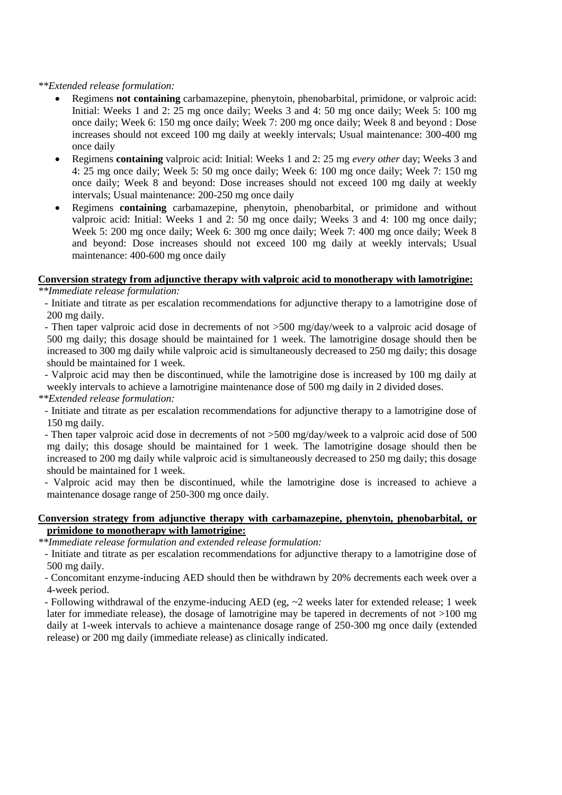#### *\*\*Extended release formulation:*

- Regimens **not containing** carbamazepine, phenytoin, phenobarbital, primidone, or valproic acid: Initial: Weeks 1 and 2: 25 mg once daily; Weeks 3 and 4: 50 mg once daily; Week 5: 100 mg once daily; Week 6: 150 mg once daily; Week 7: 200 mg once daily; Week 8 and beyond : Dose increases should not exceed 100 mg daily at weekly intervals; Usual maintenance: 300-400 mg once daily
- Regimens **containing** valproic acid: Initial: Weeks 1 and 2: 25 mg *every other* day; Weeks 3 and 4: 25 mg once daily; Week 5: 50 mg once daily; Week 6: 100 mg once daily; Week 7: 150 mg once daily; Week 8 and beyond: Dose increases should not exceed 100 mg daily at weekly intervals; Usual maintenance: 200-250 mg once daily
- Regimens **containing** carbamazepine, phenytoin, phenobarbital, or primidone and without valproic acid: Initial: Weeks 1 and 2: 50 mg once daily; Weeks 3 and 4: 100 mg once daily; Week 5: 200 mg once daily; Week 6: 300 mg once daily; Week 7: 400 mg once daily; Week 8 and beyond: Dose increases should not exceed 100 mg daily at weekly intervals; Usual maintenance: 400-600 mg once daily

# **Conversion strategy from adjunctive therapy with valproic acid to monotherapy with lamotrigine:**

*\*\*Immediate release formulation:*

- Initiate and titrate as per escalation recommendations for adjunctive therapy to a lamotrigine dose of 200 mg daily.

- Then taper valproic acid dose in decrements of not >500 mg/day/week to a valproic acid dosage of 500 mg daily; this dosage should be maintained for 1 week. The lamotrigine dosage should then be increased to 300 mg daily while valproic acid is simultaneously decreased to 250 mg daily; this dosage should be maintained for 1 week.

- Valproic acid may then be discontinued, while the lamotrigine dose is increased by 100 mg daily at weekly intervals to achieve a lamotrigine maintenance dose of 500 mg daily in 2 divided doses.

*\*\*Extended release formulation:*

- Initiate and titrate as per escalation recommendations for adjunctive therapy to a lamotrigine dose of 150 mg daily.

- Then taper valproic acid dose in decrements of not >500 mg/day/week to a valproic acid dose of 500 mg daily; this dosage should be maintained for 1 week. The lamotrigine dosage should then be increased to 200 mg daily while valproic acid is simultaneously decreased to 250 mg daily; this dosage should be maintained for 1 week.

- Valproic acid may then be discontinued, while the lamotrigine dose is increased to achieve a maintenance dosage range of 250-300 mg once daily.

#### **Conversion strategy from adjunctive therapy with carbamazepine, phenytoin, phenobarbital, or primidone to monotherapy with lamotrigine:**

*\*\*Immediate release formulation and extended release formulation:*

- Initiate and titrate as per escalation recommendations for adjunctive therapy to a lamotrigine dose of 500 mg daily.

- Concomitant enzyme-inducing AED should then be withdrawn by 20% decrements each week over a 4-week period.

- Following withdrawal of the enzyme-inducing AED (eg, ~2 weeks later for extended release; 1 week later for immediate release), the dosage of lamotrigine may be tapered in decrements of not >100 mg daily at 1-week intervals to achieve a maintenance dosage range of 250-300 mg once daily (extended release) or 200 mg daily (immediate release) as clinically indicated.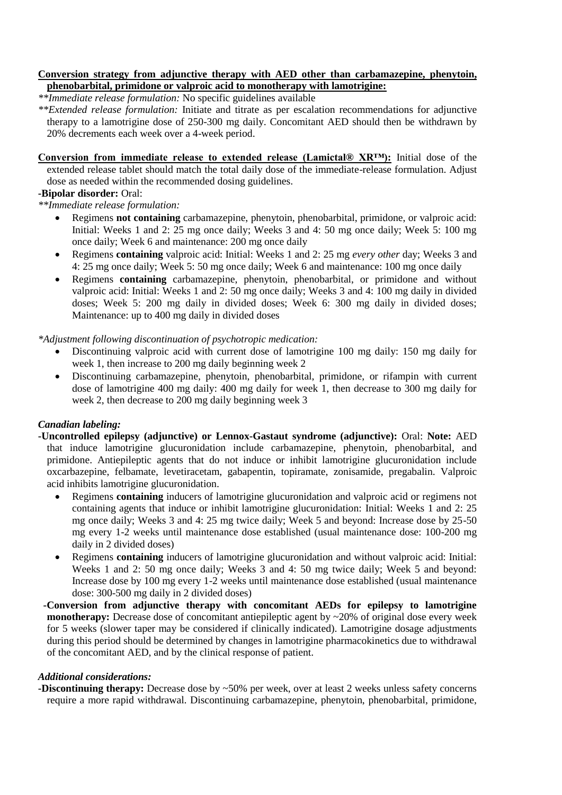#### **Conversion strategy from adjunctive therapy with AED other than carbamazepine, phenytoin, phenobarbital, primidone or valproic acid to monotherapy with lamotrigine:**

*\*\*Immediate release formulation:* No specific guidelines available

*\*\*Extended release formulation:* Initiate and titrate as per escalation recommendations for adjunctive therapy to a lamotrigine dose of 250-300 mg daily. Concomitant AED should then be withdrawn by 20% decrements each week over a 4-week period.

**Conversion from immediate release to extended release (Lamictal® XR™):** Initial dose of the extended release tablet should match the total daily dose of the immediate-release formulation. Adjust dose as needed within the recommended dosing guidelines.

# **-Bipolar disorder:** Oral:

*\*\*Immediate release formulation:*

- Regimens **not containing** carbamazepine, phenytoin, phenobarbital, primidone, or valproic acid: Initial: Weeks 1 and 2: 25 mg once daily; Weeks 3 and 4: 50 mg once daily; Week 5: 100 mg once daily; Week 6 and maintenance: 200 mg once daily
- Regimens **containing** valproic acid: Initial: Weeks 1 and 2: 25 mg *every other* day; Weeks 3 and 4: 25 mg once daily; Week 5: 50 mg once daily; Week 6 and maintenance: 100 mg once daily
- Regimens **containing** carbamazepine, phenytoin, phenobarbital, or primidone and without valproic acid: Initial: Weeks 1 and 2: 50 mg once daily; Weeks 3 and 4: 100 mg daily in divided doses; Week 5: 200 mg daily in divided doses; Week 6: 300 mg daily in divided doses; Maintenance: up to 400 mg daily in divided doses

*\*Adjustment following discontinuation of psychotropic medication:*

- Discontinuing valproic acid with current dose of lamotrigine 100 mg daily: 150 mg daily for week 1, then increase to 200 mg daily beginning week 2
- Discontinuing carbamazepine, phenytoin, phenobarbital, primidone, or rifampin with current dose of lamotrigine 400 mg daily: 400 mg daily for week 1, then decrease to 300 mg daily for week 2, then decrease to 200 mg daily beginning week 3

# *Canadian labeling:*

- **-Uncontrolled epilepsy (adjunctive) or Lennox-Gastaut syndrome (adjunctive):** Oral: **Note:** AED that induce lamotrigine glucuronidation include carbamazepine, phenytoin, phenobarbital, and primidone. Antiepileptic agents that do not induce or inhibit lamotrigine glucuronidation include oxcarbazepine, felbamate, levetiracetam, gabapentin, topiramate, zonisamide, pregabalin. Valproic acid inhibits lamotrigine glucuronidation.
	- Regimens **containing** inducers of lamotrigine glucuronidation and valproic acid or regimens not containing agents that induce or inhibit lamotrigine glucuronidation: Initial: Weeks 1 and 2: 25 mg once daily; Weeks 3 and 4: 25 mg twice daily; Week 5 and beyond: Increase dose by 25-50 mg every 1-2 weeks until maintenance dose established (usual maintenance dose: 100-200 mg daily in 2 divided doses)
	- Regimens **containing** inducers of lamotrigine glucuronidation and without valproic acid: Initial: Weeks 1 and 2: 50 mg once daily; Weeks 3 and 4: 50 mg twice daily; Week 5 and beyond: Increase dose by 100 mg every 1-2 weeks until maintenance dose established (usual maintenance dose: 300-500 mg daily in 2 divided doses)
- **-Conversion from adjunctive therapy with concomitant AEDs for epilepsy to lamotrigine monotherapy:** Decrease dose of concomitant antiepileptic agent by ~20% of original dose every week for 5 weeks (slower taper may be considered if clinically indicated). Lamotrigine dosage adjustments during this period should be determined by changes in lamotrigine pharmacokinetics due to withdrawal of the concomitant AED, and by the clinical response of patient.

#### *Additional considerations:*

**-Discontinuing therapy:** Decrease dose by ~50% per week, over at least 2 weeks unless safety concerns require a more rapid withdrawal. Discontinuing carbamazepine, phenytoin, phenobarbital, primidone,